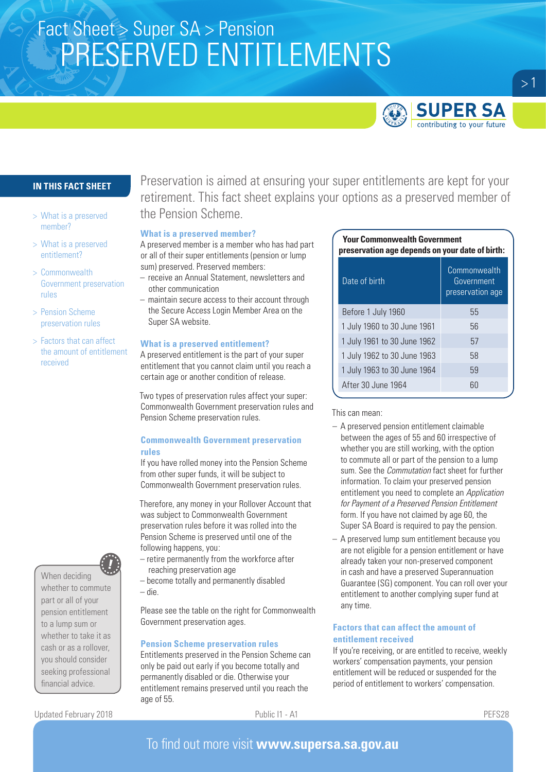# Fact Sheet > Super SA > Pension PRESERVED ENTITLEMENTS



## **IN THIS FACT SHEET**

- > What is a preserved member?
- > What is a preserved entitlement?
- > Commonwealth Government preservation rules
- > Pension Scheme preservation rules
- > Factors that can affect the amount of entitlement received

When deciding whether to commute part or all of your pension entitlement to a lump sum or whether to take it as cash or as a rollover, you should consider seeking professional financial advice.

Updated February 2018 **Public I1 - A1** PEFS28

Preservation is aimed at ensuring your super entitlements are kept for your retirement. This fact sheet explains your options as a preserved member of the Pension Scheme.

### **What is a preserved member?**

A preserved member is a member who has had part or all of their super entitlements (pension or lump sum) preserved. Preserved members:

- receive an Annual Statement, newsletters and other communication
- maintain secure access to their account through the Secure Access Login Member Area on the Super SA website.

#### **What is a preserved entitlement?**

A preserved entitlement is the part of your super entitlement that you cannot claim until you reach a certain age or another condition of release.

Two types of preservation rules affect your super: Commonwealth Government preservation rules and Pension Scheme preservation rules.

## **Commonwealth Government preservation rules**

If you have rolled money into the Pension Scheme from other super funds, it will be subject to Commonwealth Government preservation rules.

Therefore, any money in your Rollover Account that was subject to Commonwealth Government preservation rules before it was rolled into the Pension Scheme is preserved until one of the following happens, you:

- retire permanently from the workforce after reaching preservation age
- become totally and permanently disabled – die.

Please see the table on the right for Commonwealth Government preservation ages.

## **Pension Scheme preservation rules**

Entitlements preserved in the Pension Scheme can only be paid out early if you become totally and permanently disabled or die. Otherwise your entitlement remains preserved until you reach the age of 55.

### **Your Commonwealth Government preservation age depends on your date of birth:**

| Date of birth               | Commonwealth<br>Government<br>preservation age |
|-----------------------------|------------------------------------------------|
| Before 1 July 1960          | 55                                             |
| 1 July 1960 to 30 June 1961 | 56                                             |
| 1 July 1961 to 30 June 1962 | 57                                             |
| 1 July 1962 to 30 June 1963 | 58                                             |
| 1 July 1963 to 30 June 1964 | 59                                             |
| After 30 June 1964          | 60                                             |

#### This can mean:

- A preserved pension entitlement claimable between the ages of 55 and 60 irrespective of whether you are still working, with the option to commute all or part of the pension to a lump sum. See the *Commutation* fact sheet for further information. To claim your preserved pension entitlement you need to complete an *Application for Payment of a Preserved Pension Entitlement* form. If you have not claimed by age 60, the Super SA Board is required to pay the pension.
- A preserved lump sum entitlement because you are not eligible for a pension entitlement or have already taken your non-preserved component in cash and have a preserved Superannuation Guarantee (SG) component. You can roll over your entitlement to another complying super fund at any time.

## **Factors that can affect the amount of entitlement received**

If you're receiving, or are entitled to receive, weekly workers' compensation payments, your pension entitlement will be reduced or suspended for the period of entitlement to workers' compensation.